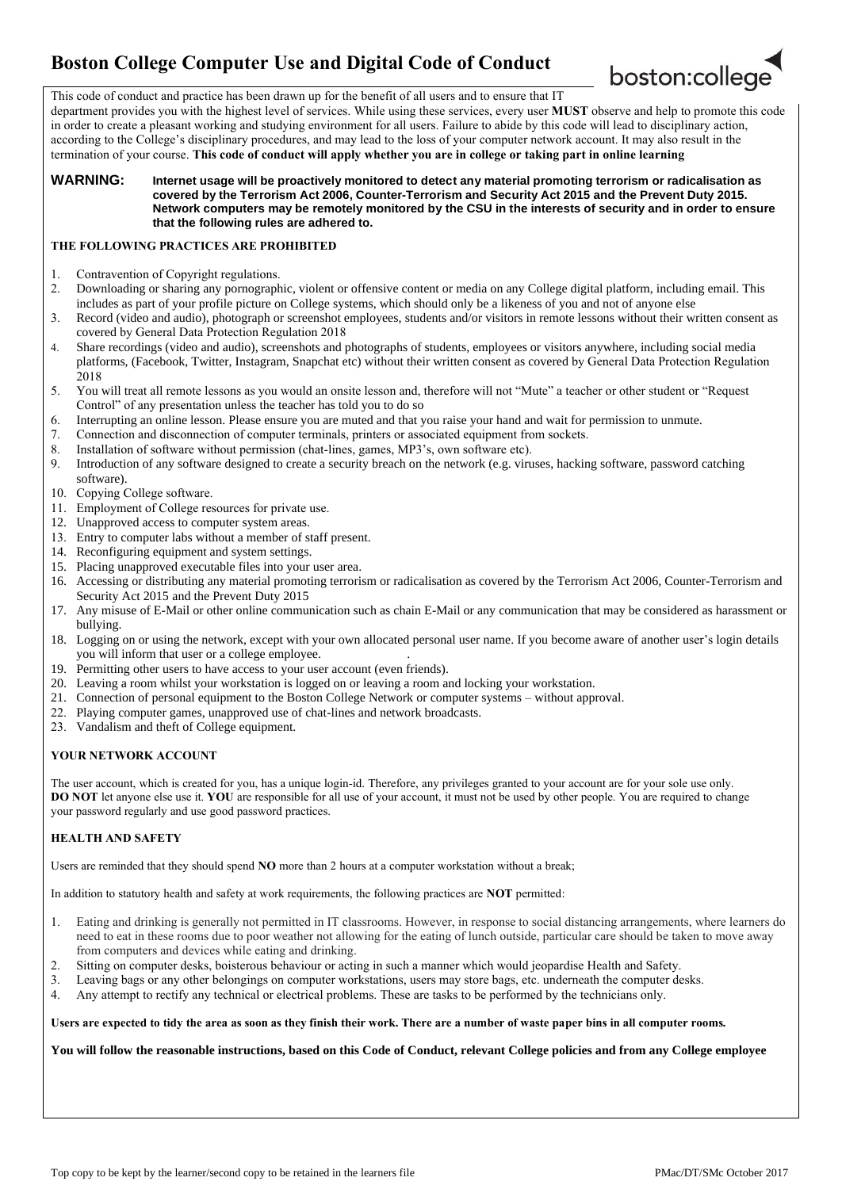# **Boston College Computer Use and Digital Code of Conduct**



This code of conduct and practice has been drawn up for the benefit of all users and to ensure that IT

department provides you with the highest level of services. While using these services, every user **MUST** observe and help to promote this code in order to create a pleasant working and studying environment for all users. Failure to abide by this code will lead to disciplinary action, according to the College's disciplinary procedures, and may lead to the loss of your computer network account. It may also result in the termination of your course. **This code of conduct will apply whether you are in college or taking part in online learning**

#### **WARNING: Internet usage will be proactively monitored to detect any material promoting terrorism or radicalisation as covered by the Terrorism Act 2006, Counter-Terrorism and Security Act 2015 and the Prevent Duty 2015. Network computers may be remotely monitored by the CSU in the interests of security and in order to ensure that the following rules are adhered to.**

## **THE FOLLOWING PRACTICES ARE PROHIBITED**

- 1. Contravention of Copyright regulations.
- 2. Downloading or sharing any pornographic, violent or offensive content or media on any College digital platform, including email. This includes as part of your profile picture on College systems, which should only be a likeness of you and not of anyone else
- 3. Record (video and audio), photograph or screenshot employees, students and/or visitors in remote lessons without their written consent as covered by General Data Protection Regulation 2018
- 4. Share recordings (video and audio), screenshots and photographs of students, employees or visitors anywhere, including social media platforms, (Facebook, Twitter, Instagram, Snapchat etc) without their written consent as covered by General Data Protection Regulation 2018
- 5. You will treat all remote lessons as you would an onsite lesson and, therefore will not "Mute" a teacher or other student or "Request Control" of any presentation unless the teacher has told you to do so
- 6. Interrupting an online lesson. Please ensure you are muted and that you raise your hand and wait for permission to unmute.
- 7. Connection and disconnection of computer terminals, printers or associated equipment from sockets.
- 8. Installation of software without permission (chat-lines, games, MP3's, own software etc).
- 9. Introduction of any software designed to create a security breach on the network (e.g. viruses, hacking software, password catching software).
- 10. Copying College software.
- 11. Employment of College resources for private use.
- 12. Unapproved access to computer system areas.
- 13. Entry to computer labs without a member of staff present.
- 14. Reconfiguring equipment and system settings.
- 15. Placing unapproved executable files into your user area.
- 16. Accessing or distributing any material promoting terrorism or radicalisation as covered by the Terrorism Act 2006, Counter-Terrorism and Security Act 2015 and the Prevent Duty 2015
- 17. Any misuse of E-Mail or other online communication such as chain E-Mail or any communication that may be considered as harassment or bullying.
- 18. Logging on or using the network, except with your own allocated personal user name. If you become aware of another user's login details you will inform that user or a college employee. .
- 19. Permitting other users to have access to your user account (even friends).
- 20. Leaving a room whilst your workstation is logged on or leaving a room and locking your workstation.
- 21. Connection of personal equipment to the Boston College Network or computer systems without approval.
- 22. Playing computer games, unapproved use of chat-lines and network broadcasts.
- 23. Vandalism and theft of College equipment.

### **YOUR NETWORK ACCOUNT**

The user account, which is created for you, has a unique login-id. Therefore, any privileges granted to your account are for your sole use only. **DO NOT** let anyone else use it. **YOU** are responsible for all use of your account, it must not be used by other people. You are required to change your password regularly and use good password practices.

### **HEALTH AND SAFETY**

Users are reminded that they should spend **NO** more than 2 hours at a computer workstation without a break;

In addition to statutory health and safety at work requirements, the following practices are **NOT** permitted:

- 1. Eating and drinking is generally not permitted in IT classrooms. However, in response to social distancing arrangements, where learners do need to eat in these rooms due to poor weather not allowing for the eating of lunch outside, particular care should be taken to move away from computers and devices while eating and drinking.
- 2. Sitting on computer desks, boisterous behaviour or acting in such a manner which would jeopardise Health and Safety.
- 3. Leaving bags or any other belongings on computer workstations, users may store bags, etc. underneath the computer desks.
- 4. Any attempt to rectify any technical or electrical problems. These are tasks to be performed by the technicians only.

#### **Users are expected to tidy the area as soon as they finish their work. There are a number of waste paper bins in all computer rooms.**

**You will follow the reasonable instructions, based on this Code of Conduct, relevant College policies and from any College employee**